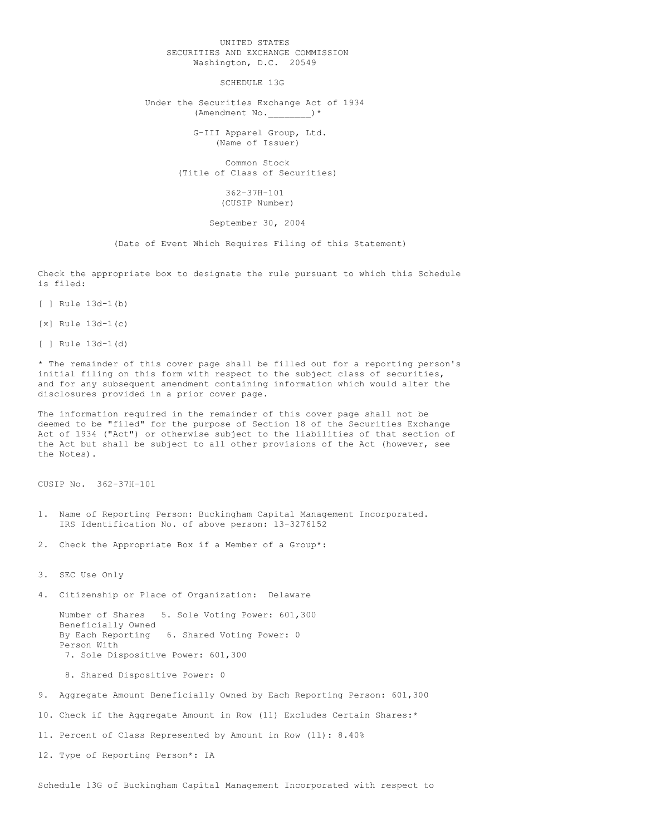## UNITED STATES SECURITIES AND EXCHANGE COMMISSION Washington, D.C. 20549

SCHEDULE 13G

Under the Securities Exchange Act of 1934 (Amendment No. )\*

> G-III Apparel Group, Ltd. (Name of Issuer)

Common Stock (Title of Class of Securities)

> 362-37H-101 (CUSIP Number)

September 30, 2004

(Date of Event Which Requires Filing of this Statement)

Check the appropriate box to designate the rule pursuant to which this Schedule is filed:

[ ] Rule 13d-1(b)

[x] Rule 13d-1(c)

[ ] Rule 13d-1(d)

\* The remainder of this cover page shall be filled out for a reporting person's initial filing on this form with respect to the subject class of securities, and for any subsequent amendment containing information which would alter the disclosures provided in a prior cover page.

The information required in the remainder of this cover page shall not be deemed to be "filed" for the purpose of Section 18 of the Securities Exchange Act of 1934 ("Act") or otherwise subject to the liabilities of that section of the Act but shall be subject to all other provisions of the Act (however, see the Notes).

CUSIP No. 362-37H-101

- 1. Name of Reporting Person: Buckingham Capital Management Incorporated. IRS Identification No. of above person: 13-3276152
- 2. Check the Appropriate Box if a Member of a Group\*:

3. SEC Use Only

4. Citizenship or Place of Organization: Delaware

Number of Shares 5. Sole Voting Power: 601,300 Beneficially Owned<br>By Each Reporting 6. Shared Voting Power: 0 Person With 7. Sole Dispositive Power: 601,300

8. Shared Dispositive Power: 0

9. Aggregate Amount Beneficially Owned by Each Reporting Person: 601,300

10. Check if the Aggregate Amount in Row (11) Excludes Certain Shares:\*

11. Percent of Class Represented by Amount in Row (11): 8.40%

12. Type of Reporting Person\*: IA

Schedule 13G of Buckingham Capital Management Incorporated with respect to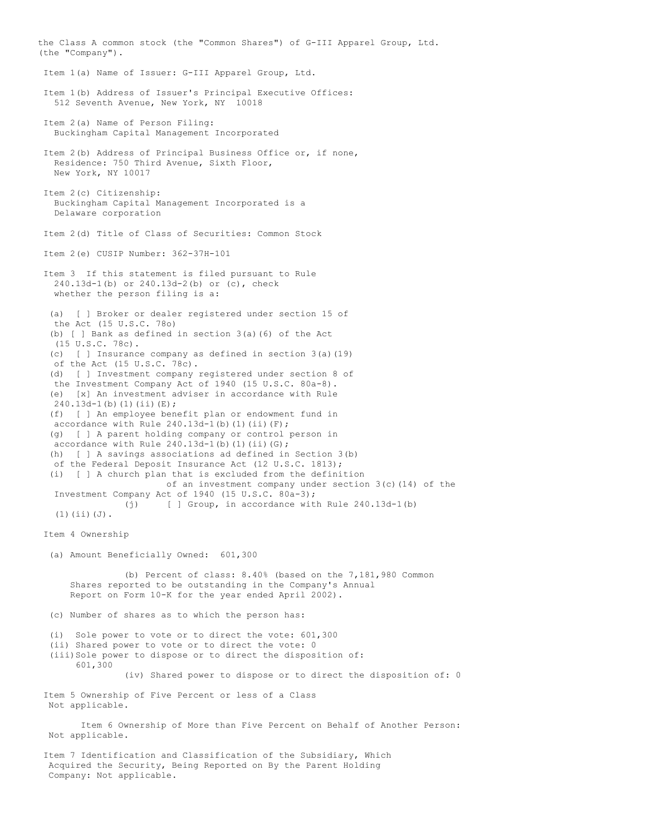the Class A common stock (the "Common Shares") of G-III Apparel Group, Ltd. (the "Company"). Item 1(a) Name of Issuer: G-III Apparel Group, Ltd. Item 1(b) Address of Issuer's Principal Executive Offices: 512 Seventh Avenue, New York, NY 10018 Item 2(a) Name of Person Filing: Buckingham Capital Management Incorporated Item 2(b) Address of Principal Business Office or, if none, Residence: 750 Third Avenue, Sixth Floor, New York, NY 10017 Item 2(c) Citizenship: Buckingham Capital Management Incorporated is a Delaware corporation Item 2(d) Title of Class of Securities: Common Stock Item 2(e) CUSIP Number: 362-37H-101 Item 3 If this statement is filed pursuant to Rule 240.13d-1(b) or 240.13d-2(b) or (c), check whether the person filing is a: (a) [ ] Broker or dealer registered under section 15 of the Act (15 U.S.C. 78o) (b) [ ] Bank as defined in section 3(a)(6) of the Act (15 U.S.C. 78c). (c) [ ] Insurance company as defined in section 3(a)(19) of the Act (15 U.S.C. 78c). (d) [ ] Investment company registered under section 8 of the Investment Company Act of 1940 (15 U.S.C. 80a-8). (e) [x] An investment adviser in accordance with Rule  $240.13d-1$  (b) (1) (ii)(E); (f) [ ] An employee benefit plan or endowment fund in accordance with Rule  $240.13d-1$ (b)(1)(ii)(F); (g) [ ] A parent holding company or control person in accordance with Rule  $240.13d-1$ (b)(1)(ii)(G); (h) [ ] A savings associations ad defined in Section 3(b) of the Federal Deposit Insurance Act (12 U.S.C. 1813); (i) [ ] A church plan that is excluded from the definition of an investment company under section  $3(c)(14)$  of the Investment Company Act of 1940 (15 U.S.C. 80a-3); (j) [ ] Group, in accordance with Rule 240.13d-1(b) (1)(ii)(J). Item 4 Ownership (a) Amount Beneficially Owned: 601,300 (b) Percent of class: 8.40% (based on the 7,181,980 Common Shares reported to be outstanding in the Company's Annual Report on Form 10-K for the year ended April 2002). (c) Number of shares as to which the person has: (i) Sole power to vote or to direct the vote: 601,300 (ii) Shared power to vote or to direct the vote: 0 (iii)Sole power to dispose or to direct the disposition of: 601,300 (iv) Shared power to dispose or to direct the disposition of: 0 Item 5 Ownership of Five Percent or less of a Class Not applicable. Item 6 Ownership of More than Five Percent on Behalf of Another Person: Not applicable. Item 7 Identification and Classification of the Subsidiary, Which Acquired the Security, Being Reported on By the Parent Holding Company: Not applicable.